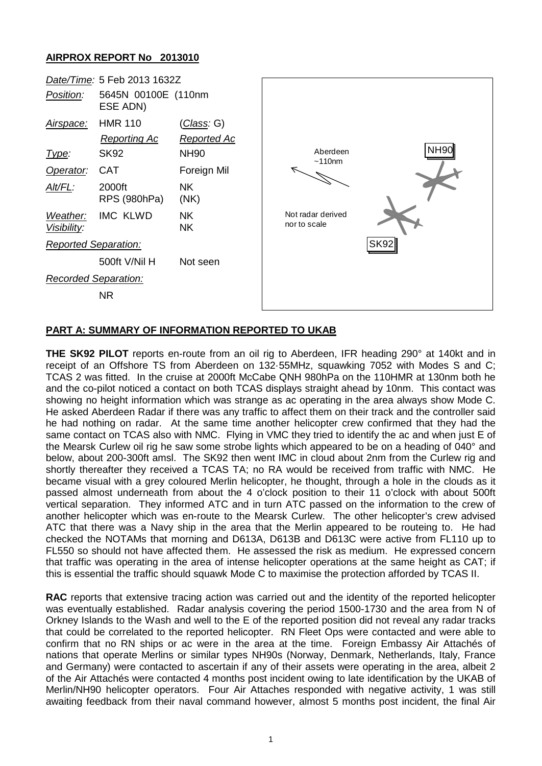## **AIRPROX REPORT No 2013010**



## **PART A: SUMMARY OF INFORMATION REPORTED TO UKAB**

**THE SK92 PILOT** reports en-route from an oil rig to Aberdeen, IFR heading 290° at 140kt and in receipt of an Offshore TS from Aberdeen on 132·55MHz, squawking 7052 with Modes S and C; TCAS 2 was fitted. In the cruise at 2000ft McCabe QNH 980hPa on the 110HMR at 130nm both he and the co-pilot noticed a contact on both TCAS displays straight ahead by 10nm. This contact was showing no height information which was strange as ac operating in the area always show Mode C. He asked Aberdeen Radar if there was any traffic to affect them on their track and the controller said he had nothing on radar. At the same time another helicopter crew confirmed that they had the same contact on TCAS also with NMC. Flying in VMC they tried to identify the ac and when just E of the Mearsk Curlew oil rig he saw some strobe lights which appeared to be on a heading of 040° and below, about 200-300ft amsl. The SK92 then went IMC in cloud about 2nm from the Curlew rig and shortly thereafter they received a TCAS TA; no RA would be received from traffic with NMC. He became visual with a grey coloured Merlin helicopter, he thought, through a hole in the clouds as it passed almost underneath from about the 4 o'clock position to their 11 o'clock with about 500ft vertical separation. They informed ATC and in turn ATC passed on the information to the crew of another helicopter which was en-route to the Mearsk Curlew. The other helicopter's crew advised ATC that there was a Navy ship in the area that the Merlin appeared to be routeing to. He had checked the NOTAMs that morning and D613A, D613B and D613C were active from FL110 up to FL550 so should not have affected them. He assessed the risk as medium. He expressed concern that traffic was operating in the area of intense helicopter operations at the same height as CAT; if this is essential the traffic should squawk Mode C to maximise the protection afforded by TCAS II.

**RAC** reports that extensive tracing action was carried out and the identity of the reported helicopter was eventually established. Radar analysis covering the period 1500-1730 and the area from N of Orkney Islands to the Wash and well to the E of the reported position did not reveal any radar tracks that could be correlated to the reported helicopter. RN Fleet Ops were contacted and were able to confirm that no RN ships or ac were in the area at the time. Foreign Embassy Air Attachés of nations that operate Merlins or similar types NH90s (Norway, Denmark, Netherlands, Italy, France and Germany) were contacted to ascertain if any of their assets were operating in the area, albeit 2 of the Air Attachés were contacted 4 months post incident owing to late identification by the UKAB of Merlin/NH90 helicopter operators. Four Air Attaches responded with negative activity, 1 was still awaiting feedback from their naval command however, almost 5 months post incident, the final Air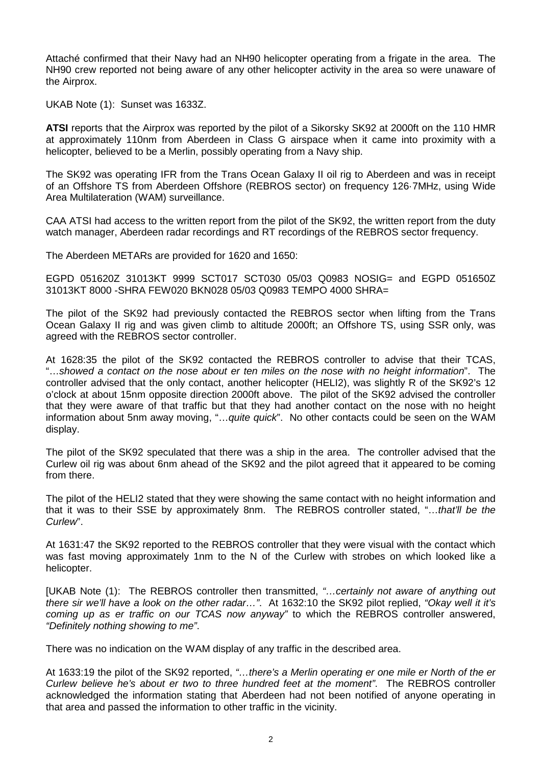Attaché confirmed that their Navy had an NH90 helicopter operating from a frigate in the area. The NH90 crew reported not being aware of any other helicopter activity in the area so were unaware of the Airprox.

UKAB Note (1): Sunset was 1633Z.

**ATSI** reports that the Airprox was reported by the pilot of a Sikorsky SK92 at 2000ft on the 110 HMR at approximately 110nm from Aberdeen in Class G airspace when it came into proximity with a helicopter, believed to be a Merlin, possibly operating from a Navy ship.

The SK92 was operating IFR from the Trans Ocean Galaxy II oil rig to Aberdeen and was in receipt of an Offshore TS from Aberdeen Offshore (REBROS sector) on frequency 126·7MHz, using Wide Area Multilateration (WAM) surveillance.

CAA ATSI had access to the written report from the pilot of the SK92, the written report from the duty watch manager, Aberdeen radar recordings and RT recordings of the REBROS sector frequency.

The Aberdeen METARs are provided for 1620 and 1650:

EGPD 051620Z 31013KT 9999 SCT017 SCT030 05/03 Q0983 NOSIG= and EGPD 051650Z 31013KT 8000 -SHRA FEW020 BKN028 05/03 Q0983 TEMPO 4000 SHRA=

The pilot of the SK92 had previously contacted the REBROS sector when lifting from the Trans Ocean Galaxy II rig and was given climb to altitude 2000ft; an Offshore TS, using SSR only, was agreed with the REBROS sector controller.

At 1628:35 the pilot of the SK92 contacted the REBROS controller to advise that their TCAS, "…*showed a contact on the nose about er ten miles on the nose with no height information*". The controller advised that the only contact, another helicopter (HELI2), was slightly R of the SK92's 12 o'clock at about 15nm opposite direction 2000ft above. The pilot of the SK92 advised the controller that they were aware of that traffic but that they had another contact on the nose with no height information about 5nm away moving, "…*quite quick*". No other contacts could be seen on the WAM display.

The pilot of the SK92 speculated that there was a ship in the area. The controller advised that the Curlew oil rig was about 6nm ahead of the SK92 and the pilot agreed that it appeared to be coming from there.

The pilot of the HELI2 stated that they were showing the same contact with no height information and that it was to their SSE by approximately 8nm. The REBROS controller stated, "…*that'll be the Curlew*".

At 1631:47 the SK92 reported to the REBROS controller that they were visual with the contact which was fast moving approximately 1nm to the N of the Curlew with strobes on which looked like a helicopter.

[UKAB Note (1): The REBROS controller then transmitted, *"…certainly not aware of anything out there sir we'll have a look on the other radar…"*. At 1632:10 the SK92 pilot replied, *"Okay well it it's coming up as er traffic on our TCAS now anyway"* to which the REBROS controller answered, *"Definitely nothing showing to me"*.

There was no indication on the WAM display of any traffic in the described area.

At 1633:19 the pilot of the SK92 reported, *"…there's a Merlin operating er one mile er North of the er Curlew believe he's about er two to three hundred feet at the moment"*. The REBROS controller acknowledged the information stating that Aberdeen had not been notified of anyone operating in that area and passed the information to other traffic in the vicinity.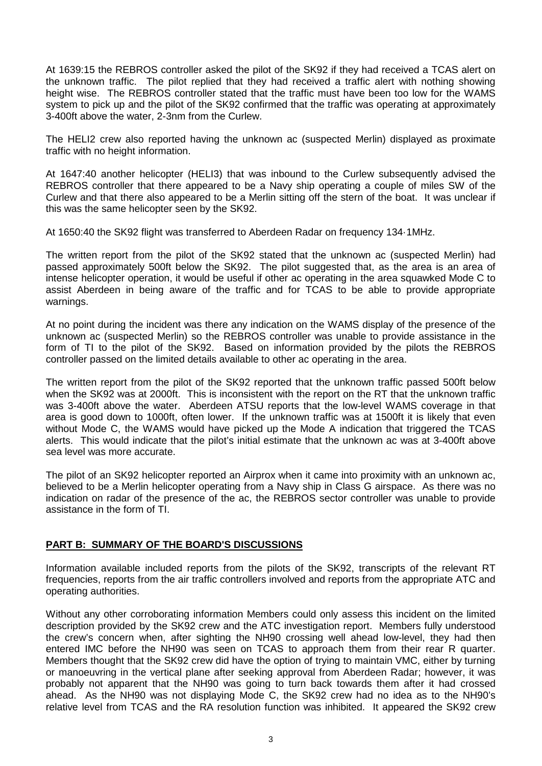At 1639:15 the REBROS controller asked the pilot of the SK92 if they had received a TCAS alert on the unknown traffic. The pilot replied that they had received a traffic alert with nothing showing height wise. The REBROS controller stated that the traffic must have been too low for the WAMS system to pick up and the pilot of the SK92 confirmed that the traffic was operating at approximately 3-400ft above the water, 2-3nm from the Curlew.

The HELI2 crew also reported having the unknown ac (suspected Merlin) displayed as proximate traffic with no height information.

At 1647:40 another helicopter (HELI3) that was inbound to the Curlew subsequently advised the REBROS controller that there appeared to be a Navy ship operating a couple of miles SW of the Curlew and that there also appeared to be a Merlin sitting off the stern of the boat. It was unclear if this was the same helicopter seen by the SK92.

At 1650:40 the SK92 flight was transferred to Aberdeen Radar on frequency 134·1MHz.

The written report from the pilot of the SK92 stated that the unknown ac (suspected Merlin) had passed approximately 500ft below the SK92. The pilot suggested that, as the area is an area of intense helicopter operation, it would be useful if other ac operating in the area squawked Mode C to assist Aberdeen in being aware of the traffic and for TCAS to be able to provide appropriate warnings.

At no point during the incident was there any indication on the WAMS display of the presence of the unknown ac (suspected Merlin) so the REBROS controller was unable to provide assistance in the form of TI to the pilot of the SK92. Based on information provided by the pilots the REBROS controller passed on the limited details available to other ac operating in the area.

The written report from the pilot of the SK92 reported that the unknown traffic passed 500ft below when the SK92 was at 2000ft. This is inconsistent with the report on the RT that the unknown traffic was 3-400ft above the water. Aberdeen ATSU reports that the low-level WAMS coverage in that area is good down to 1000ft, often lower. If the unknown traffic was at 1500ft it is likely that even without Mode C, the WAMS would have picked up the Mode A indication that triggered the TCAS alerts. This would indicate that the pilot's initial estimate that the unknown ac was at 3-400ft above sea level was more accurate.

The pilot of an SK92 helicopter reported an Airprox when it came into proximity with an unknown ac, believed to be a Merlin helicopter operating from a Navy ship in Class G airspace. As there was no indication on radar of the presence of the ac, the REBROS sector controller was unable to provide assistance in the form of TI.

## **PART B: SUMMARY OF THE BOARD'S DISCUSSIONS**

Information available included reports from the pilots of the SK92, transcripts of the relevant RT frequencies, reports from the air traffic controllers involved and reports from the appropriate ATC and operating authorities.

Without any other corroborating information Members could only assess this incident on the limited description provided by the SK92 crew and the ATC investigation report. Members fully understood the crew's concern when, after sighting the NH90 crossing well ahead low-level, they had then entered IMC before the NH90 was seen on TCAS to approach them from their rear R quarter. Members thought that the SK92 crew did have the option of trying to maintain VMC, either by turning or manoeuvring in the vertical plane after seeking approval from Aberdeen Radar; however, it was probably not apparent that the NH90 was going to turn back towards them after it had crossed ahead. As the NH90 was not displaying Mode C, the SK92 crew had no idea as to the NH90's relative level from TCAS and the RA resolution function was inhibited. It appeared the SK92 crew